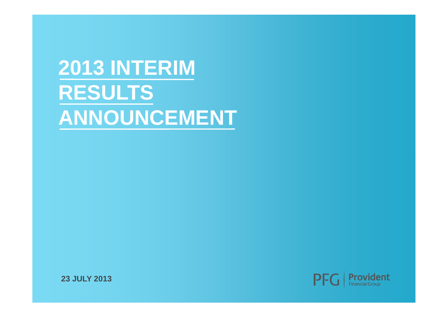# **2013 INTERIM RESULTS ANNOUNCEMENT**



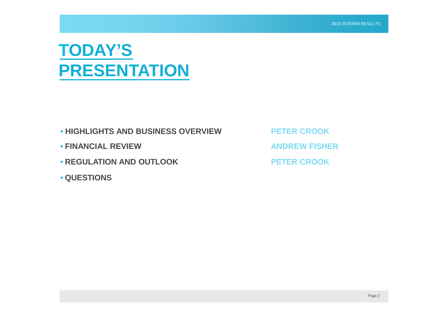#### **TODAY'S PRESENTATION**

- **HIGHLIGHTS AND BUSINESS OVERVIEW PETER CROOK**
- FINANCIAL REVIEW **ANDREW FISHER**
- **REGULATION AND OUTLOOK PETER CROOK**
- **QUESTIONS**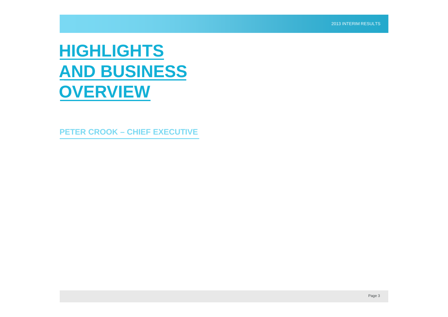#### **HIGHLIGHTS AND BUSINESS OVERVIEW**

**PETER CROOK – CHIEF EXECUTIVE**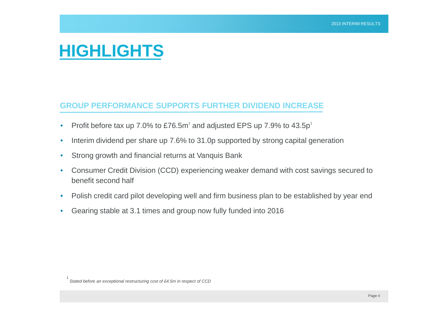#### **HIGHLIGHTS**

#### **GROUP PERFORMANCE SUPPORTS FURTHER DIVIDEND INCREASE**

- Profit before tax up 7.0% to £76.5m<sup>1</sup> and adjusted EPS up 7.9% to 43.5p<sup>1</sup>
- Interim dividend per share up 7.6% to 31.0p supported by strong capital generation
- Strong growth and financial returns at Vanquis Bank
- Consumer Credit Division (CCD) experiencing weaker demand with cost savings secured to benefit second half
- Polish credit card pilot developing well and firm business plan to be established by year end
- Gearing stable at 3.1 times and group now fully funded into 2016

<sup>1</sup> *Stated before an exceptional restructuring cost of £4.5m in respect of CCD*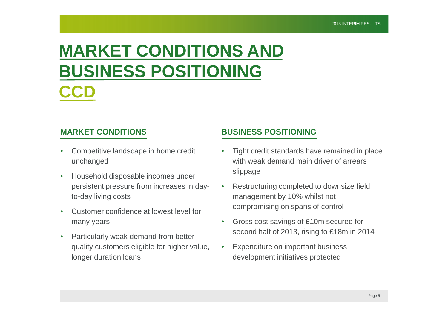#### **MARKET CONDITIONS AND BUSINESS POSITIONING CCD**

- Competitive landscape in home credit unchanged
- Household disposable incomes under persistent pressure from increases in dayto-day living costs
- Customer confidence at lowest level for many years
- Particularly weak demand from better quality customers eligible for higher value, longer duration loans

#### **MARKET CONDITIONS BUSINESS POSITIONING**

- Tight credit standards have remained in place with weak demand main driver of arrears slippage
- Restructuring completed to downsize field management by 10% whilst not compromising on spans of control
- Gross cost savings of £10m secured for second half of 2013, rising to £18m in 2014
- Expenditure on important business development initiatives protected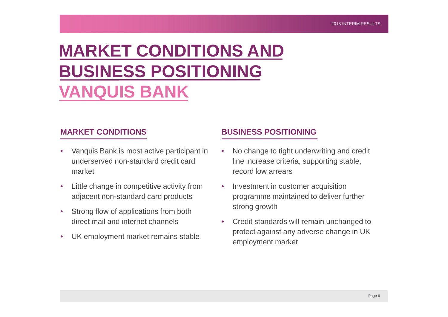## **MARKET CONDITIONS AND BUSINESS POSITIONING VANQUIS BANK**

- Vanquis Bank is most active participant in underserved non-standard credit card market
- Little change in competitive activity from adjacent non-standard card products
- Strong flow of applications from both direct mail and internet channels
- UK employment market remains stable

#### **MARKET CONDITIONS BUSINESS POSITIONING**

- No change to tight underwriting and credit line increase criteria, supporting stable, record low arrears
- Investment in customer acquisition programme maintained to deliver further strong growth
- Credit standards will remain unchanged to protect against any adverse change in UK employment market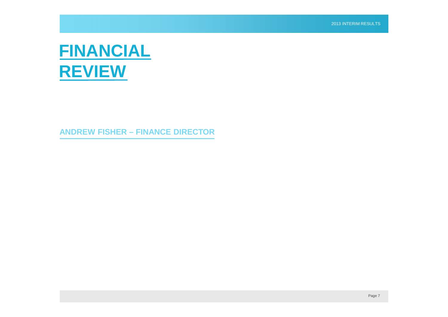#### **FINANCIAL REVIEW**

**ANDREW FISHER – FINANCE DIRECTOR**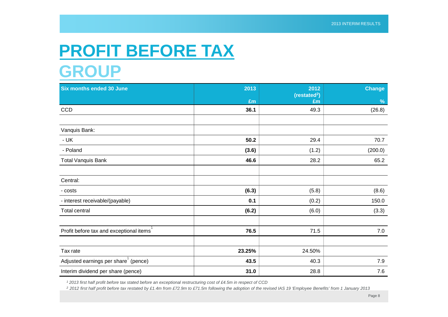#### **PROFIT BEFORE TAX GROUP**

| <b>Six months ended 30 June</b>         | 2013   | 2012<br>(restated <sup>2</sup> ) | <b>Change</b> |
|-----------------------------------------|--------|----------------------------------|---------------|
|                                         | £m     | £m                               | $\frac{9}{6}$ |
| <b>CCD</b>                              | 36.1   | 49.3                             | (26.8)        |
|                                         |        |                                  |               |
| Vanquis Bank:                           |        |                                  |               |
| - UK                                    | 50.2   | 29.4                             | 70.7          |
| - Poland                                | (3.6)  | (1.2)                            | (200.0)       |
| <b>Total Vanquis Bank</b>               | 46.6   | 28.2                             | 65.2          |
|                                         |        |                                  |               |
| Central:                                |        |                                  |               |
| - costs                                 | (6.3)  | (5.8)                            | (8.6)         |
| - interest receivable/(payable)         | 0.1    | (0.2)                            | 150.0         |
| Total central                           | (6.2)  | (6.0)                            | (3.3)         |
|                                         |        |                                  |               |
| Profit before tax and exceptional items | 76.5   | 71.5                             | 7.0           |
|                                         |        |                                  |               |
| Tax rate                                | 23.25% | 24.50%                           |               |
| Adjusted earnings per share (pence)     | 43.5   | 40.3                             | $7.9$         |
| Interim dividend per share (pence)      | 31.0   | 28.8                             | 7.6           |

*<sup>1</sup> 2013 first half profit before tax stated before an exceptional restructuring cost of £4.5m in respect of CCD*

*<sup>2</sup> 2012 first half profit before tax restated by £1.4m from £72.9m to £71.5m following the adoption of the revised IAS 19 'Employee Benefits' from 1 January 2013*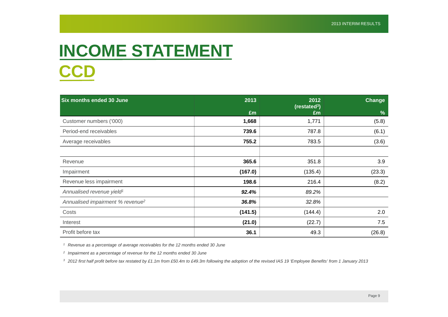## **INCOME STATEMENT CCD**

| <b>Six months ended 30 June</b>              | 2013    | 2012<br>(restated <sup>3</sup> ) | Change        |  |
|----------------------------------------------|---------|----------------------------------|---------------|--|
|                                              | Em      | £m                               | $\frac{9}{6}$ |  |
| Customer numbers ('000)                      | 1,668   | 1,771                            | (5.8)         |  |
| Period-end receivables                       | 739.6   | 787.8                            | (6.1)         |  |
| Average receivables                          | 755.2   | 783.5                            | (3.6)         |  |
|                                              |         |                                  |               |  |
| Revenue                                      | 365.6   | 351.8                            | 3.9           |  |
| Impairment                                   | (167.0) | (135.4)                          | (23.3)        |  |
| Revenue less impairment                      | 198.6   | 216.4                            | (8.2)         |  |
| Annualised revenue yield <sup>1</sup>        | 92.4%   | 89.2%                            |               |  |
| Annualised impairment % revenue <sup>2</sup> | 36.8%   | 32.8%                            |               |  |
| Costs                                        | (141.5) | (144.4)                          | 2.0           |  |
| Interest                                     | (21.0)  | (22.7)                           | 7.5           |  |
| Profit before tax                            | 36.1    | 49.3                             | (26.8)        |  |

*<sup>1</sup> Revenue as a percentage of average receivables for the 12 months ended 30 June*

*2 Impairment as a percentage of revenue for the 12 months ended 30 June*

*<sup>3</sup> 2012 first half profit before tax restated by £1.1m from £50.4m to £49.3m following the adoption of the revised IAS 19 'Employee Benefits' from 1 January 2013*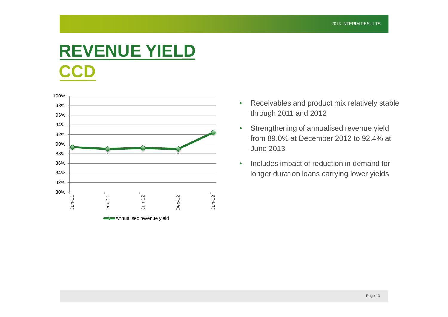## **REVENUE YIELD CCD**



- Receivables and product mix relatively stable through 2011 and 2012
- Strengthening of annualised revenue yield from 89.0% at December 2012 to 92.4% at June 2013
- Includes impact of reduction in demand for longer duration loans carrying lower yields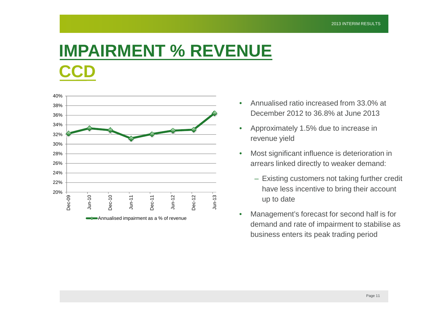#### **IMPAIRMENT % REVENUE CCD**



- Annualised ratio increased from 33.0% at December 2012 to 36.8% at June 2013
- Approximately 1.5% due to increase in revenue yield
- Most significant influence is deterioration in arrears linked directly to weaker demand:
	- Existing customers not taking further credit have less incentive to bring their account up to date
- Management's forecast for second half is for demand and rate of impairment to stabilise as business enters its peak trading period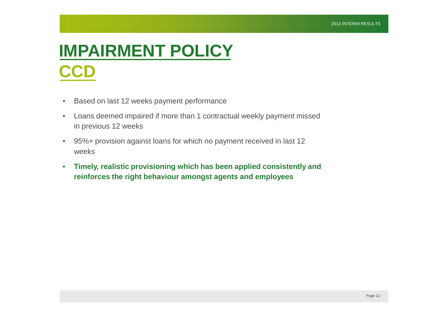#### **IMPAIRMENT POLICY CCD**

- Based on last 12 weeks payment performance
- Loans deemed impaired if more than 1 contractual weekly payment missed in previous 12 weeks
- 95%+ provision against loans for which no payment received in last 12 weeks
- **Timely, realistic provisioning which has been applied consistently and reinforces the right behaviour amongst agents and employees**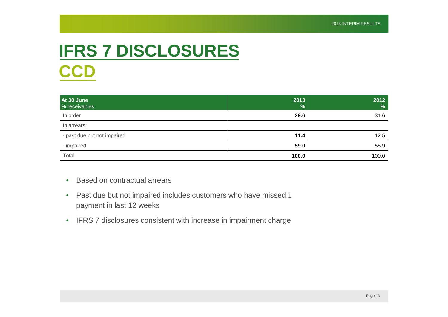## **IFRS 7 DISCLOSURES CCD**

| At 30 June<br>% receivables | 2013<br>$\frac{9}{6}$ | 2012<br>$\frac{9}{6}$ |
|-----------------------------|-----------------------|-----------------------|
| In order                    | 29.6                  | 31.6                  |
| In arrears:                 |                       |                       |
| - past due but not impaired | 11.4                  | 12.5                  |
| - impaired                  | 59.0                  | 55.9                  |
| Total                       | 100.0                 | 100.0                 |

- Based on contractual arrears
- Past due but not impaired includes customers who have missed 1 payment in last 12 weeks
- IFRS 7 disclosures consistent with increase in impairment charge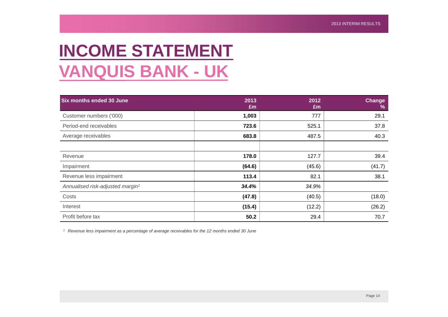#### **INCOME STATEMENT VANQUIS BANK - UK**

| <b>Six months ended 30 June</b>              | 2013<br>£m | 2012<br>£m | <b>Change</b><br>% |
|----------------------------------------------|------------|------------|--------------------|
| Customer numbers ('000)                      | 1,003      | 777        | 29.1               |
| Period-end receivables                       | 723.6      | 525.1      | 37.8               |
| Average receivables                          | 683.8      | 487.5      | 40.3               |
|                                              |            |            |                    |
| Revenue                                      | 178.0      | 127.7      | 39.4               |
| Impairment                                   | (64.6)     | (45.6)     | (41.7)             |
| Revenue less impairment                      | 113.4      | 82.1       | 38.1               |
| Annualised risk-adjusted margin <sup>1</sup> | 34.4%      | 34.9%      |                    |
| Costs                                        | (47.8)     | (40.5)     | (18.0)             |
| Interest                                     | (15.4)     | (12.2)     | (26.2)             |
| Profit before tax                            | 50.2       | 29.4       | 70.7               |

*<sup>1</sup> Revenue less impairment as a percentage of average receivables for the 12 months ended 30 June*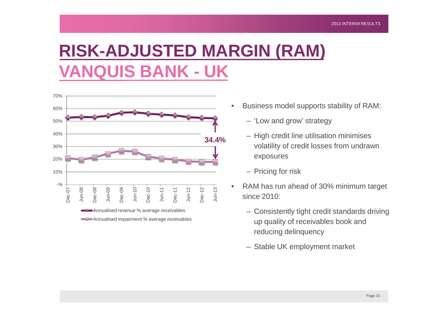### **RISK-ADJUSTED MARGIN (RAM) VANQUIS BANK - UK**



- Business model supports stability of RAM:
	- 'Low and grow' strategy
	- High credit line utilisation minimises volatility of credit losses from undrawn exposures
	- Pricing for risk
- RAM has run ahead of 30% minimum target since 2010:
	- Consistently tight credit standards driving up quality of receivables book and reducing delinquency
	- Stable UK employment market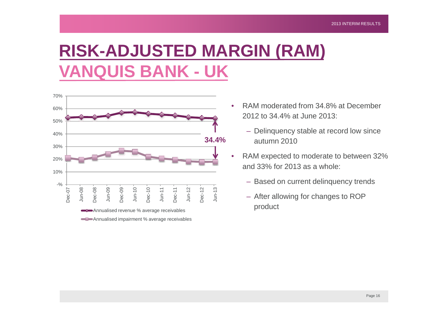## **RISK-ADJUSTED MARGIN (RAM) VANQUIS BANK - UK**



- RAM moderated from 34.8% at December 2012 to 34.4% at June 2013:
	- Delinquency stable at record low since autumn 2010
- RAM expected to moderate to between 32% and 33% for 2013 as a whole:
	- Based on current delinquency trends
	- After allowing for changes to ROP product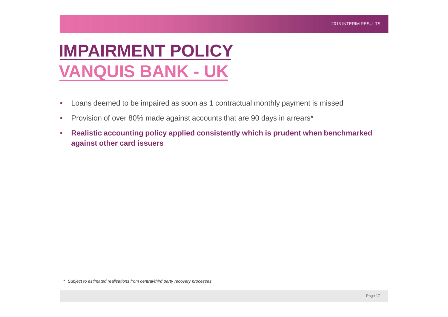#### **IMPAIRMENT POLICY VANQUIS BANK - UK**

- Loans deemed to be impaired as soon as 1 contractual monthly payment is missed
- Provision of over 80% made against accounts that are 90 days in arrears\*
- **Realistic accounting policy applied consistently which is prudent when benchmarked against other card issuers**

*\* Subject to estimated realisations from central/third party recovery processes*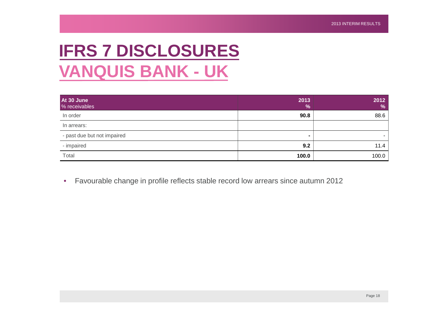## **IFRS 7 DISCLOSURES VANQUIS BANK - UK**

| At 30 June<br>% receivables | 2013<br>$\frac{9}{6}$ | 2012<br>% |
|-----------------------------|-----------------------|-----------|
| In order                    | 90.8                  | 88.6      |
| In arrears:                 |                       |           |
| - past due but not impaired | $\blacksquare$        |           |
| - impaired                  | 9.2                   | 11.4      |
| Total                       | 100.0                 | 100.0     |

• Favourable change in profile reflects stable record low arrears since autumn 2012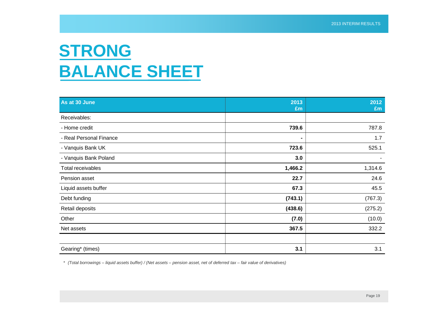#### **STRONG BALANCE SHEET**

| As at 30 June           | 2013<br>£m | 2012<br>£m |
|-------------------------|------------|------------|
| Receivables:            |            |            |
| - Home credit           | 739.6      | 787.8      |
| - Real Personal Finance |            | 1.7        |
| - Vanquis Bank UK       | 723.6      | 525.1      |
| - Vanquis Bank Poland   | 3.0        |            |
| Total receivables       | 1,466.2    | 1,314.6    |
| Pension asset           | 22.7       | 24.6       |
| Liquid assets buffer    | 67.3       | 45.5       |
| Debt funding            | (743.1)    | (767.3)    |
| Retail deposits         | (438.6)    | (275.2)    |
| Other                   | (7.0)      | (10.0)     |
| Net assets              | 367.5      | 332.2      |
|                         |            |            |
| Gearing* (times)        | 3.1        | 3.1        |

*\* (Total borrowings – liquid assets buffer) / (Net assets – pension asset, net of deferred tax – fair value of derivatives)*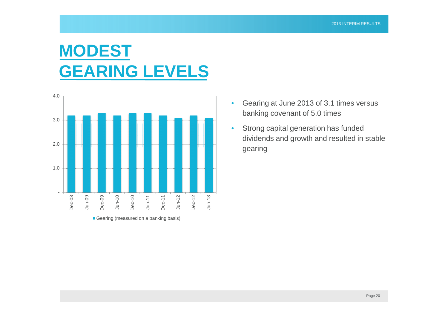#### **MODEST GEARING LEVELS**



- Gearing at June 2013 of 3.1 times versus banking covenant of 5.0 times
- Strong capital generation has funded dividends and growth and resulted in stable gearing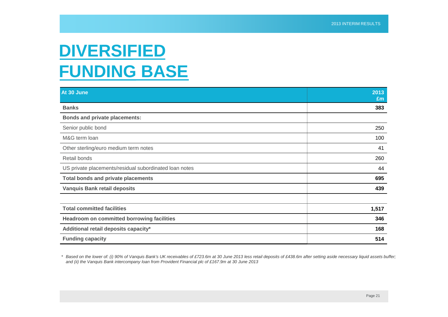#### **DIVERSIFIED FUNDING BASE**

| At 30 June                                             | 2013<br>Em |
|--------------------------------------------------------|------------|
| <b>Banks</b>                                           | 383        |
| <b>Bonds and private placements:</b>                   |            |
| Senior public bond                                     | 250        |
| M&G term loan                                          | 100        |
| Other sterling/euro medium term notes                  | 41         |
| Retail bonds                                           | 260        |
| US private placements/residual subordinated loan notes | 44         |
| <b>Total bonds and private placements</b>              | 695        |
| <b>Vanquis Bank retail deposits</b>                    | 439        |
|                                                        |            |
| <b>Total committed facilities</b>                      | 1,517      |
| <b>Headroom on committed borrowing facilities</b>      | 346        |
| Additional retail deposits capacity*                   | 168        |
| <b>Funding capacity</b>                                | 514        |

*\* Based on the lower of: (i) 90% of Vanquis Bank's UK receivables of £723.6m at 30 June 2013 less retail deposits of £438.6m after setting aside necessary liquid assets buffer; and (ii) the Vanquis Bank intercompany loan from Provident Financial plc of £167.9m at 30 June 2013*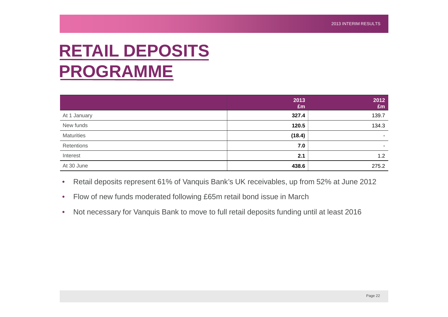#### **RETAIL DEPOSITS PROGRAMME**

|                   | 2013<br>£m | 2012<br>£m |
|-------------------|------------|------------|
| At 1 January      | 327.4      | 139.7      |
| New funds         | 120.5      | 134.3      |
| <b>Maturities</b> | (18.4)     | $\sim$     |
| Retentions        | 7.0        | $\sim$     |
| Interest          | 2.1        | 1.2        |
| At 30 June        | 438.6      | 275.2      |

- Retail deposits represent 61% of Vanquis Bank's UK receivables, up from 52% at June 2012
- Flow of new funds moderated following £65m retail bond issue in March
- Not necessary for Vanquis Bank to move to full retail deposits funding until at least 2016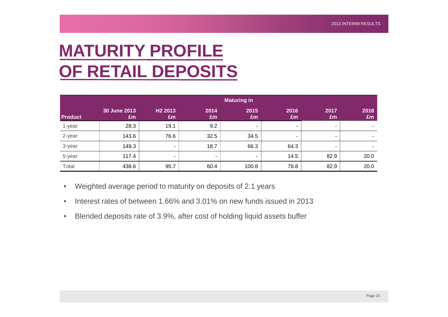## **MATURITY PROFILE OF RETAIL DEPOSITS**

|                |                    | <b>Maturing in</b>        |            |            |            |                          |            |
|----------------|--------------------|---------------------------|------------|------------|------------|--------------------------|------------|
| <b>Product</b> | 30 June 2013<br>£m | H <sub>2</sub> 2013<br>£m | 2014<br>£m | 2015<br>£m | 2016<br>£m | 2017<br>£m               | 2018<br>Em |
| 1-year         | 28.3               | 19.1                      | 9.2        | $\sim$     |            | $\overline{\phantom{a}}$ |            |
| 2-year         | 143.6              | 76.6                      | 32.5       | 34.5       |            | ۰                        |            |
| 3-year         | 149.3              | $\blacksquare$            | 18.7       | 66.3       | 64.3       |                          |            |
| 5-year         | 117.4              | ۰                         | ۰.         | -          | 14.5       | 82.9                     | 20.0       |
| Total          | 438.6              | 95.7                      | 60.4       | 100.8      | 78.8       | 82.9                     | 20.0       |

- Weighted average period to maturity on deposits of 2.1 years
- Interest rates of between 1.66% and 3.01% on new funds issued in 2013
- Blended deposits rate of 3.9%, after cost of holding liquid assets buffer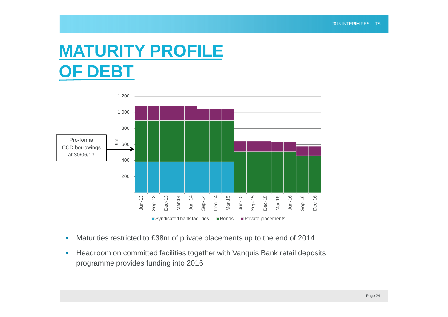#### **MATURITY PROFILE OF DEBT**



- Maturities restricted to £38m of private placements up to the end of 2014
- Headroom on committed facilities together with Vanquis Bank retail deposits programme provides funding into 2016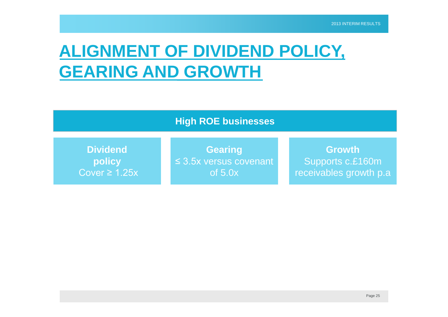## **ALIGNMENT OF DIVIDEND POLICY, GEARING AND GROWTH**

#### **High ROE businesses**

**Dividend policy** Cover  $\geq 1.25x$ 

**Gearing** ≤ 3.5x versus covenant of 5.0x

**Growth** Supports c.£160m receivables growth p.a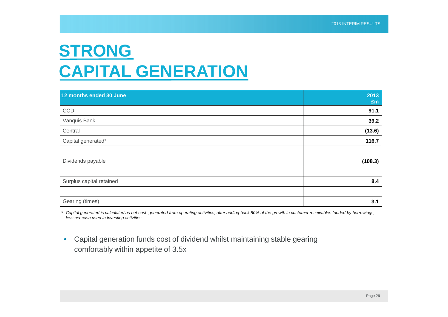#### **STRONG CAPITAL GENERATION**

| 12 months ended 30 June  | 2013<br>£m |
|--------------------------|------------|
| CCD                      | 91.1       |
| Vanquis Bank             | 39.2       |
| Central                  | (13.6)     |
| Capital generated*       | 116.7      |
|                          |            |
| Dividends payable        | (108.3)    |
|                          |            |
| Surplus capital retained | 8.4        |
|                          |            |
| Gearing (times)          | 3.1        |

*\* Capital generated is calculated as net cash generated from operating activities, after adding back 80% of the growth in customer receivables funded by borrowings, less net cash used in investing activities.*

• Capital generation funds cost of dividend whilst maintaining stable gearing comfortably within appetite of 3.5x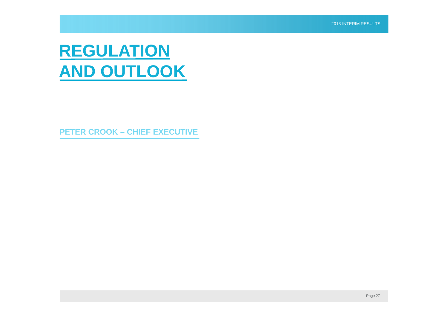#### **REGULATION AND OUTLOOK**

**PETER CROOK – CHIEF EXECUTIVE**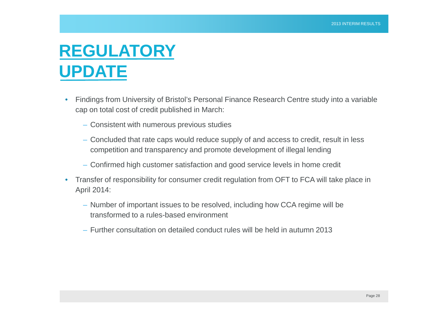#### **REGULATORY UPDATE**

- Findings from University of Bristol's Personal Finance Research Centre study into a variable cap on total cost of credit published in March:
	- Consistent with numerous previous studies
	- Concluded that rate caps would reduce supply of and access to credit, result in less competition and transparency and promote development of illegal lending
	- Confirmed high customer satisfaction and good service levels in home credit
- Transfer of responsibility for consumer credit regulation from OFT to FCA will take place in April 2014:
	- Number of important issues to be resolved, including how CCA regime will be transformed to a rules-based environment
	- Further consultation on detailed conduct rules will be held in autumn 2013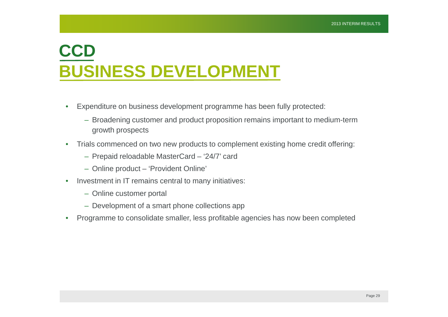### **CCD BUSINESS DEVELOPMENT**

- Expenditure on business development programme has been fully protected:
	- Broadening customer and product proposition remains important to medium-term growth prospects
- Trials commenced on two new products to complement existing home credit offering:
	- Prepaid reloadable MasterCard '24/7' card
	- Online product 'Provident Online'
- Investment in IT remains central to many initiatives:
	- Online customer portal
	- Development of a smart phone collections app
- Programme to consolidate smaller, less profitable agencies has now been completed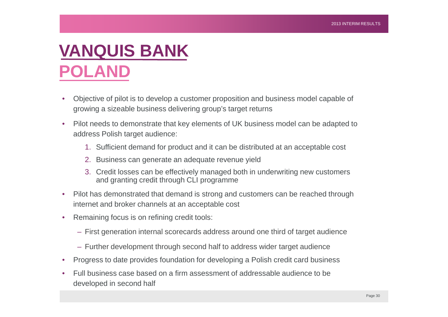## **VANQUIS BANK POLAND**

- Objective of pilot is to develop a customer proposition and business model capable of growing a sizeable business delivering group's target returns
- Pilot needs to demonstrate that key elements of UK business model can be adapted to address Polish target audience:
	- 1. Sufficient demand for product and it can be distributed at an acceptable cost
	- 2. Business can generate an adequate revenue yield
	- 3. Credit losses can be effectively managed both in underwriting new customers and granting credit through CLI programme
- Pilot has demonstrated that demand is strong and customers can be reached through internet and broker channels at an acceptable cost
- Remaining focus is on refining credit tools:
	- First generation internal scorecards address around one third of target audience
	- Further development through second half to address wider target audience
- Progress to date provides foundation for developing a Polish credit card business
- Full business case based on a firm assessment of addressable audience to be developed in second half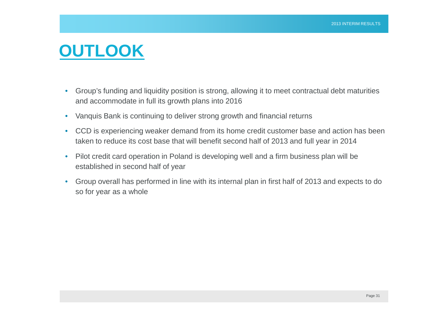#### **OUTLOOK**

- Group's funding and liquidity position is strong, allowing it to meet contractual debt maturities and accommodate in full its growth plans into 2016
- Vanquis Bank is continuing to deliver strong growth and financial returns
- CCD is experiencing weaker demand from its home credit customer base and action has been taken to reduce its cost base that will benefit second half of 2013 and full year in 2014
- Pilot credit card operation in Poland is developing well and a firm business plan will be established in second half of year
- Group overall has performed in line with its internal plan in first half of 2013 and expects to do so for year as a whole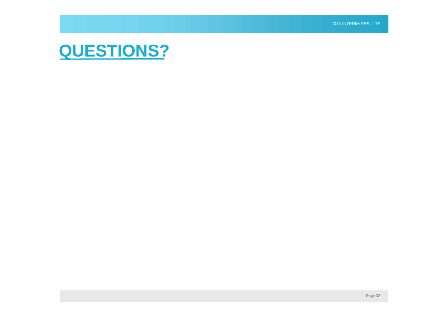#### **QUESTIONS?**